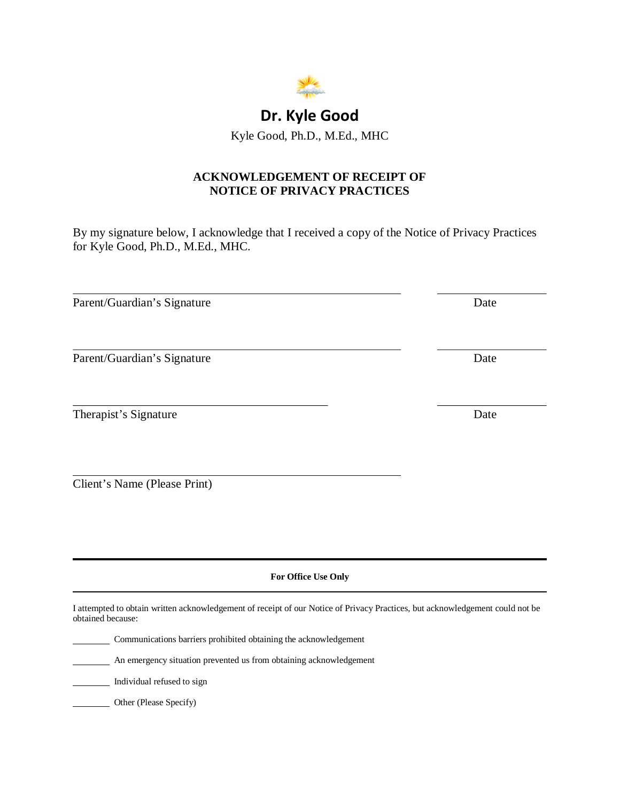

# **Dr. Kyle Good**

Kyle Good, Ph.D., M.Ed., MHC

## **ACKNOWLEDGEMENT OF RECEIPT OF NOTICE OF PRIVACY PRACTICES**

By my signature below, I acknowledge that I received a copy of the Notice of Privacy Practices for Kyle Good, Ph.D., M.Ed., MHC.

Parent/Guardian's Signature Date

 $\overline{a}$ 

 $\overline{a}$ 

 $\overline{a}$ 

 $\overline{a}$ 

Parent/Guardian's Signature Date

Therapist's Signature Date

Client's Name (Please Print)

**For Office Use Only** 

I attempted to obtain written acknowledgement of receipt of our Notice of Privacy Practices, but acknowledgement could not be obtained because:

Communications barriers prohibited obtaining the acknowledgement

An emergency situation prevented us from obtaining acknowledgement

Individual refused to sign

Other (Please Specify)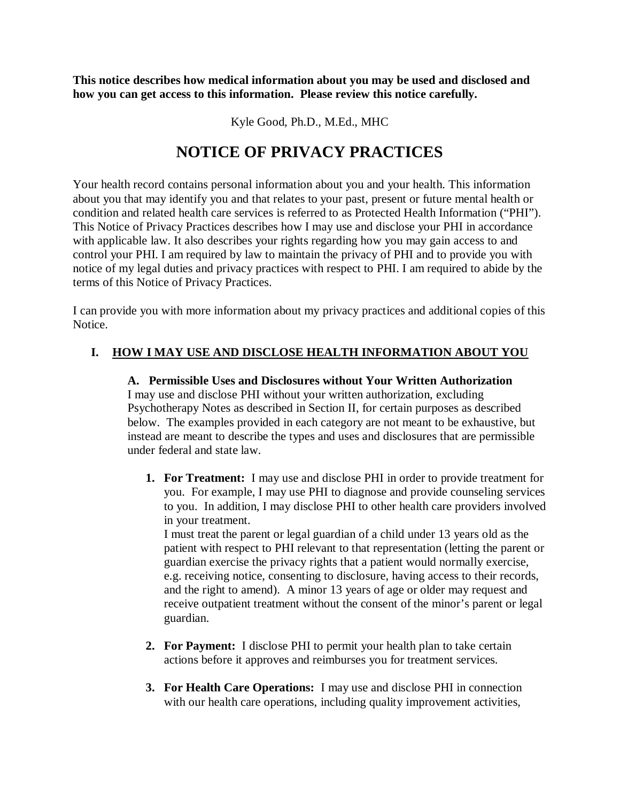**This notice describes how medical information about you may be used and disclosed and how you can get access to this information. Please review this notice carefully.** 

Kyle Good, Ph.D., M.Ed., MHC

# **NOTICE OF PRIVACY PRACTICES**

Your health record contains personal information about you and your health. This information about you that may identify you and that relates to your past, present or future mental health or condition and related health care services is referred to as Protected Health Information ("PHI"). This Notice of Privacy Practices describes how I may use and disclose your PHI in accordance with applicable law. It also describes your rights regarding how you may gain access to and control your PHI. I am required by law to maintain the privacy of PHI and to provide you with notice of my legal duties and privacy practices with respect to PHI. I am required to abide by the terms of this Notice of Privacy Practices.

I can provide you with more information about my privacy practices and additional copies of this Notice.

## **I. HOW I MAY USE AND DISCLOSE HEALTH INFORMATION ABOUT YOU**

**A. Permissible Uses and Disclosures without Your Written Authorization**  I may use and disclose PHI without your written authorization, excluding Psychotherapy Notes as described in Section II, for certain purposes as described below. The examples provided in each category are not meant to be exhaustive, but instead are meant to describe the types and uses and disclosures that are permissible under federal and state law.

**1. For Treatment:** I may use and disclose PHI in order to provide treatment for you. For example, I may use PHI to diagnose and provide counseling services to you. In addition, I may disclose PHI to other health care providers involved in your treatment.

I must treat the parent or legal guardian of a child under 13 years old as the patient with respect to PHI relevant to that representation (letting the parent or guardian exercise the privacy rights that a patient would normally exercise, e.g. receiving notice, consenting to disclosure, having access to their records, and the right to amend). A minor 13 years of age or older may request and receive outpatient treatment without the consent of the minor's parent or legal guardian.

- **2. For Payment:** I disclose PHI to permit your health plan to take certain actions before it approves and reimburses you for treatment services.
- **3. For Health Care Operations:** I may use and disclose PHI in connection with our health care operations, including quality improvement activities,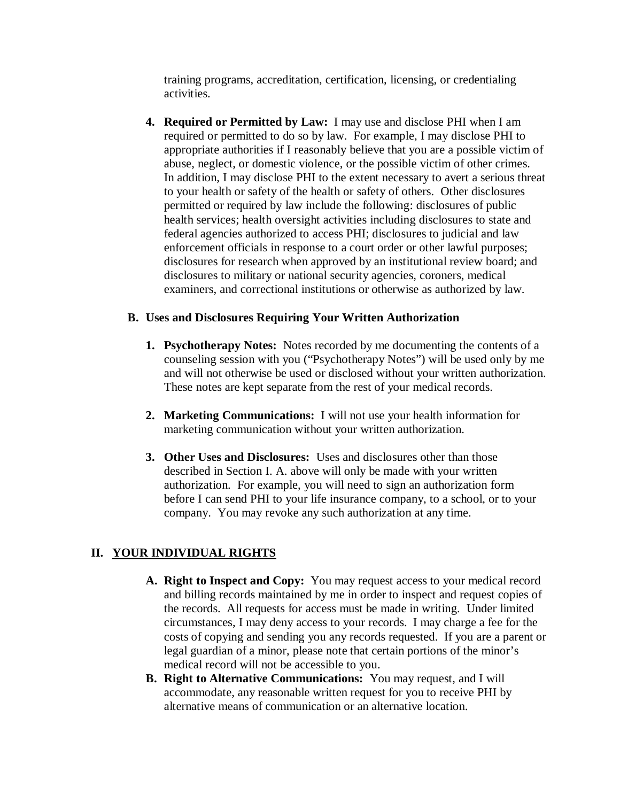training programs, accreditation, certification, licensing, or credentialing activities.

**4. Required or Permitted by Law:** I may use and disclose PHI when I am required or permitted to do so by law. For example, I may disclose PHI to appropriate authorities if I reasonably believe that you are a possible victim of abuse, neglect, or domestic violence, or the possible victim of other crimes. In addition, I may disclose PHI to the extent necessary to avert a serious threat to your health or safety of the health or safety of others. Other disclosures permitted or required by law include the following: disclosures of public health services; health oversight activities including disclosures to state and federal agencies authorized to access PHI; disclosures to judicial and law enforcement officials in response to a court order or other lawful purposes; disclosures for research when approved by an institutional review board; and disclosures to military or national security agencies, coroners, medical examiners, and correctional institutions or otherwise as authorized by law.

#### **B. Uses and Disclosures Requiring Your Written Authorization**

- **1. Psychotherapy Notes:** Notes recorded by me documenting the contents of a counseling session with you ("Psychotherapy Notes") will be used only by me and will not otherwise be used or disclosed without your written authorization. These notes are kept separate from the rest of your medical records.
- **2. Marketing Communications:** I will not use your health information for marketing communication without your written authorization.
- **3. Other Uses and Disclosures:** Uses and disclosures other than those described in Section I. A. above will only be made with your written authorization. For example, you will need to sign an authorization form before I can send PHI to your life insurance company, to a school, or to your company. You may revoke any such authorization at any time.

#### **II. YOUR INDIVIDUAL RIGHTS**

- **A. Right to Inspect and Copy:** You may request access to your medical record and billing records maintained by me in order to inspect and request copies of the records. All requests for access must be made in writing. Under limited circumstances, I may deny access to your records. I may charge a fee for the costs of copying and sending you any records requested. If you are a parent or legal guardian of a minor, please note that certain portions of the minor's medical record will not be accessible to you.
- **B. Right to Alternative Communications:** You may request, and I will accommodate, any reasonable written request for you to receive PHI by alternative means of communication or an alternative location.